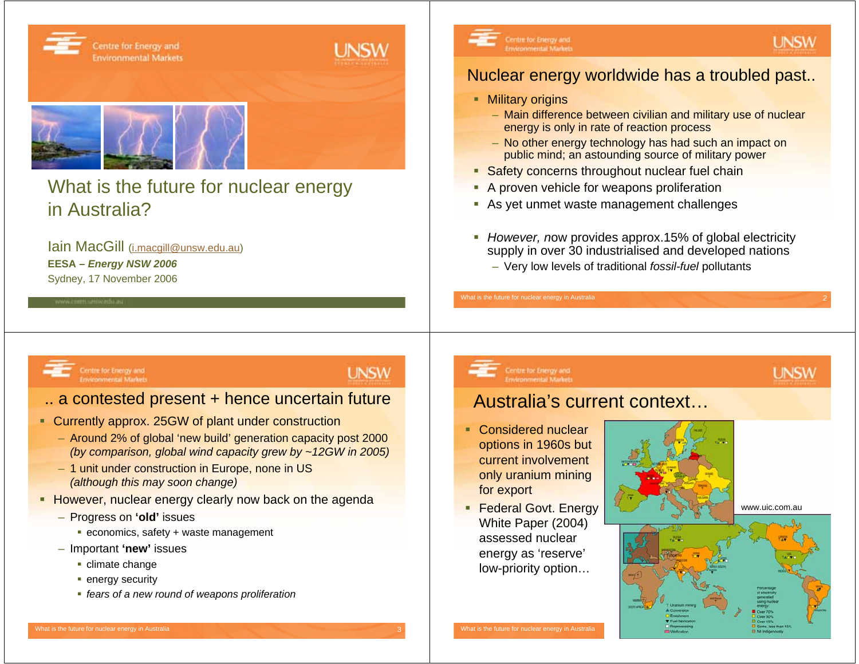

### What is the future for nuclear energy in Australia?

Iain MacGill (i.macgill@unsw.edu.au) **EESA –** *Energy NSW 2006* Sydney, 17 November 2006



### Nuclear energy worldwide has a troubled past..

**UNSW** 

**UNSW** 

- **Military origins** 
	- Main difference between civilian and military use of nuclear energy is only in rate of reaction process
	- No other energy technology has had such an impact on public mind; an astounding source of military power
- **Safety concerns throughout nuclear fuel chain**
- **A** proven vehicle for weapons proliferation
- As yet unmet waste management challenges
- $\mathcal{L}_{\mathcal{A}}$  *However, n*ow provides approx.15% of global electricity supply in over 30 industrialised and developed nations
	- Very low levels of traditional *fossil-fuel* pollutants

Centre for Energy and<br>Environmental Market

### .. a contested present + hence uncertain future

- **Currently approx. 25GW of plant under construction** 
	- Around 2% of global 'new build' generation capacity post 2000 *(by comparison, global wind capacity grew by ~12GW in 2005)*
	- 1 unit under construction in Europe, none in US *(although this may soon change)*
- **However, nuclear energy clearly now back on the agenda** 
	- Progress on **'old'** issues
		- economics, safety + waste management
	- Important **'new'** issues
		- climate change
		- **•** energy security
		- *fears of a new round of weapons proliferation*

### **UNSW**

## Australia's current context…

■ Considered nuclear options in 1960s but current involvement only uranium mining for export

What is the future for nuclear energy in Australia 2

Centre for Energy an<br>Environmental Marks

**Federal Govt. Energy** White Paper (2004) assessed nuclear energy as 'reserve' low-priority option…

www.uic.com.au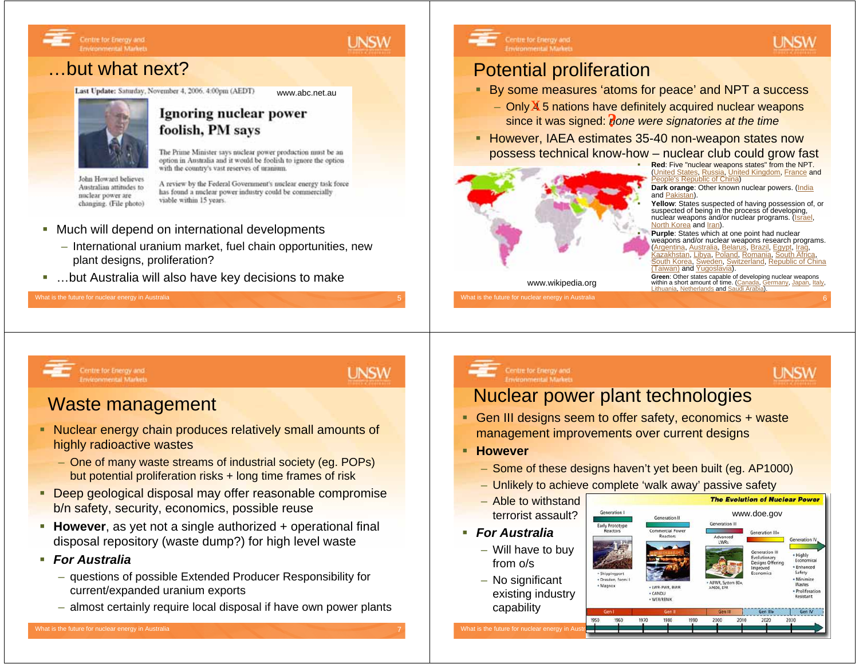

### …but what next?

Centre for Energy and<br>Environmental Market

Last Update: Saturday, November 4, 2006. 4:00pm (AEDT)



### Ignoring nuclear power foolish, PM says

The Prime Minister says nuclear power production must be an option in Australia and it would be foolish to ignore the option with the country's vast reserves of uranium.

www.abc.net.au

John Howard believes Australian attitudes to nuclear power are changing. (File photo)

### A review by the Federal Government's nuclear energy task force has found a nuclear power industry could be commercially viable within 15 years.

- Much will depend on international developments
	- International uranium market, fuel chain opportunities, new plant designs, proliferation?
- …but Australia will also have key decisions to make

### What is the future for nuclear energy in Australia

### Potential proliferation

- By some measures 'atoms for peace' and NPT a success
	- Only 45 nations have definitely acquired nuclear weapons since it was signed: *none were signatories at the time* **?**
- **However, IAEA estimates 35-40 non-weapon states now** possess technical know-how – nuclear club could grow fast



 **Red**: Five "nuclear weapons states" from the NPT. **Inited States, Russia, United Kingdom, France and** People's Republic of China)

 **Dark orange**: Other known nuclear powers. (India and Pakistan).

 **Yellow**: States suspected of having possession of, or suspected of being in the process of developing, nuclear weapons and/or nuclear programs. (Israel, North Korea and *Iran*).

 **Purple**: States which at one point had nuclear weapons and/or nuclear weapons research programs. (Argentina, Australia, Belarus, Brazil, Egypt, Iraq, Poland, Romania, South Korea, Sweden, Switzerland, Republic of China (Taiwan) and Yugoslavia).

**Green**: Other states capable of developing nuclear weapons www.wikipedia.org within a short amount of time. (Canada, Germany, Japan, Italy, Wikipedia.org Lithuania, Netherlands and Saudi Arabia).

### Centre for Energy and<br>Environmental Markets

### **UNSW**

### Waste management

- Nuclear energy chain produces relatively small amounts of highly radioactive wastes
	- One of many waste streams of industrial society (eg. POPs) but potential proliferation risks + long time frames of risk
- **Deep geological disposal may offer reasonable compromise** b/n safety, security, economics, possible reuse
- **However**, as yet not a single authorized + operational final disposal repository (waste dump?) for high level waste
- *For Australia*
	- questions of possible Extended Producer Responsibility for current/expanded uranium exports
	- almost certainly require local disposal if have own power plants

### Centre for Energy and

### **UNSW**

UNSW

### Nuclear power plant technologies

- Gen III designs seem to offer safety, economics + waste management improvements over current designs
- **However**
	- Some of these designs haven't yet been built (eg. AP1000)
	- Unlikely to achieve complete 'walk away' passive safety
	- Able to withstand terrorist assault?
- *For Australia*
	- Will have to buy from o/s
	- No significant existing industry capability

Vhat is the future for nuclear energy in

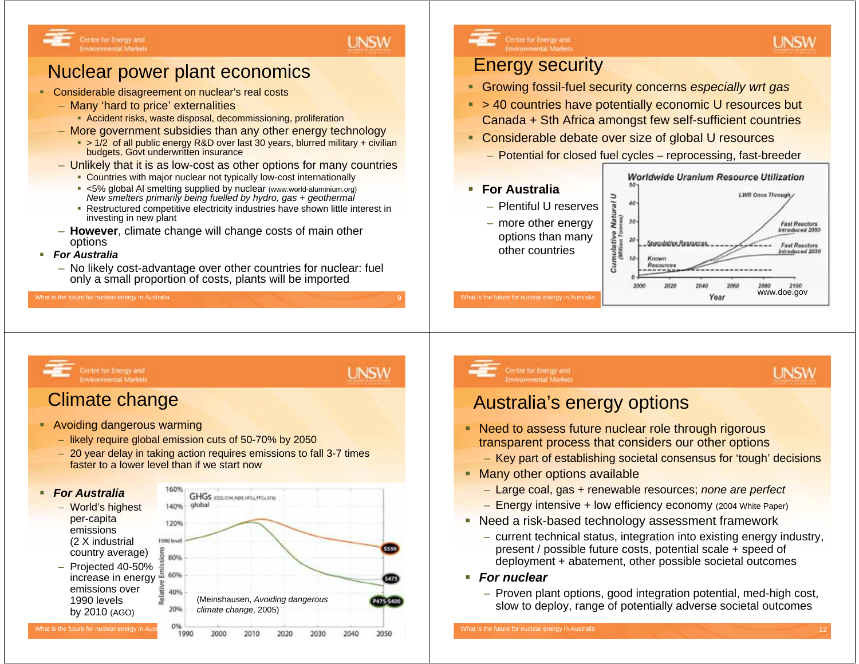

### Nuclear power plant economics

- **Considerable disagreement on nuclear's real costs** 
	- Many 'hard to price' externalities
		- Accident risks, waste disposal, decommissioning, proliferation
	- More government subsidies than any other energy technology
		- > 1/2 of all public energy R&D over last 30 years, blurred military + civilian budgets, Govt underwritten insurance
	- Unlikely that it is as low-cost as other options for many countries
		- **Countries with major nuclear not typically low-cost internationally**
		- <5% global Al smelting supplied by nuclear (www.world-aluminium.org) *New smelters primarily being fuelled by hydro, gas + geothermal*
		- Restructured competitive electricity industries have shown little interest in investing in new plant
	- **However**, climate change will change costs of main other options
- *For Australia*
	- No likely cost-advantage over other countries for nuclear: fuel only a small proportion of costs, plants will be imported

What is the future for nuclear energy in Australia

## Centre for Energy and

### Energy security

- Growing fossil-fuel security concerns *especially wrt gas*
- > 40 countries have potentially economic U resources but Canada + Sth Africa amongst few self-sufficient countries
- **Considerable debate over size of global U resources** 
	- Potential for closed fuel cycles reprocessing, fast-breeder
- **For Australia**
	- Plentiful U reserves
	- more other energy options than many other countries



**UNSW** 

**UNSW** 

## Centre for Energy and<br>Environmental Markets

### Climate change

- Avoiding dangerous warming
	- likely require global emission cuts of 50-70% by 2050
	- 20 year delay in taking action requires emissions to fall 3-7 times faster to a lower level than if we start now



# Centre for Energy and<br>Environmental Markets

## **UNSW**

**UNSW** 

### Australia's energy options

- **Need to assess future nuclear role through rigorous** transparent process that considers our other options
	- Key part of establishing societal consensus for 'tough' decisions
- **Many other options available** 
	- Large coal, gas + renewable resources; *none are perfect*
	- Energy intensive + low efficiency economy (2004 White Paper)
- Need a risk-based technology assessment framework
	- current technical status, integration into existing energy industry, present / possible future costs, potential scale + speed of deployment + abatement, other possible societal outcomes
- *For nuclear*
	- Proven plant options, good integration potential, med-high cost, slow to deploy, range of potentially adverse societal outcomes